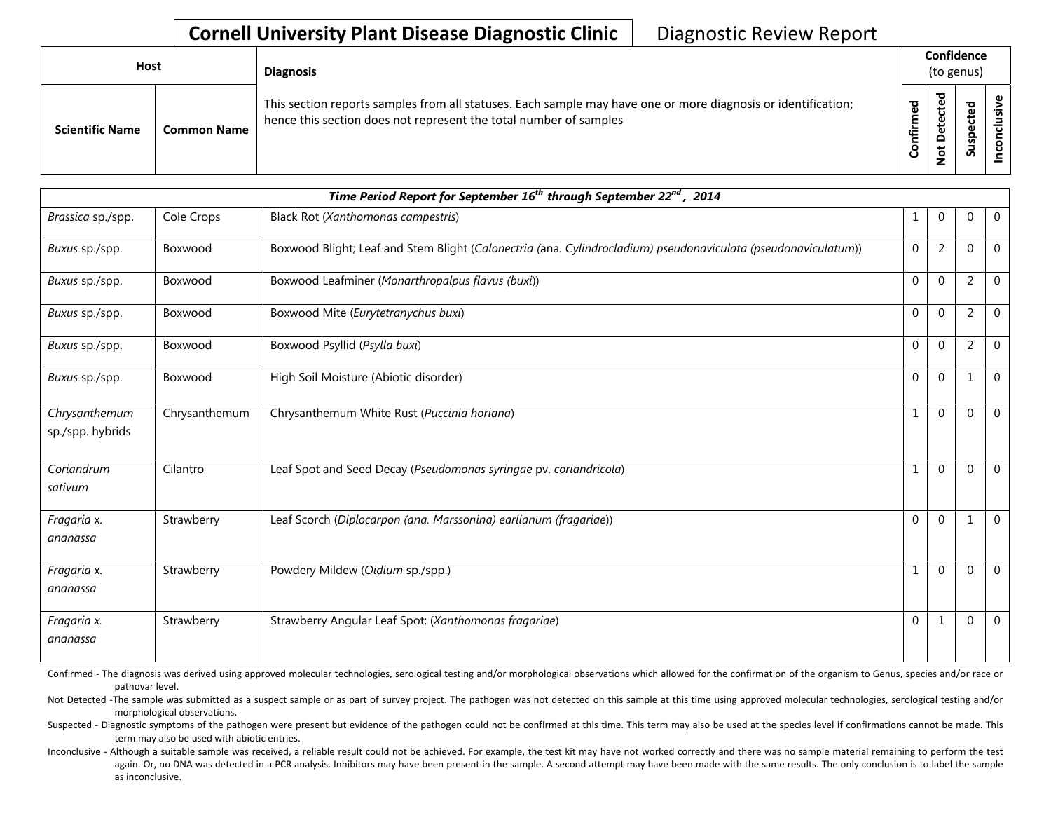## **Cornell University Plant Disease Diagnostic Clinic** | Diagnostic Review Report

| Host                   |                    | <b>Diagnosis</b>                                                                                                                                                                   |                      | Confidence<br>(to genus)                             |                                |  |
|------------------------|--------------------|------------------------------------------------------------------------------------------------------------------------------------------------------------------------------------|----------------------|------------------------------------------------------|--------------------------------|--|
| <b>Scientific Name</b> | <b>Common Name</b> | This section reports samples from all statuses. Each sample may have one or more diagnosis or identification;<br>hence this section does not represent the total number of samples | ਨੂ<br>Ě<br>tir<br>ලි | ᇴ<br>$\mathbf \omega$<br>ပ<br>ق<br>ω<br>۵<br>ى<br>ءِ | ਠ<br>₽<br>ں<br>ω<br>င္ဘ<br>ದೆ. |  |

|                                   |               | Time Period Report for September 16 <sup>th</sup> through September 22 <sup>nd</sup> , 2014                    |              |                |                |                |
|-----------------------------------|---------------|----------------------------------------------------------------------------------------------------------------|--------------|----------------|----------------|----------------|
| Brassica sp./spp.                 | Cole Crops    | Black Rot (Xanthomonas campestris)                                                                             | 1            | $\mathbf 0$    | 0              | $\overline{0}$ |
| Buxus sp./spp.                    | Boxwood       | Boxwood Blight; Leaf and Stem Blight (Calonectria (ana. Cylindrocladium) pseudonaviculata (pseudonaviculatum)) | $\mathbf{0}$ | $\overline{2}$ | $\Omega$       | $\overline{0}$ |
| Buxus sp./spp.                    | Boxwood       | Boxwood Leafminer (Monarthropalpus flavus (buxi))                                                              | $\Omega$     | $\Omega$       | 2              | $\Omega$       |
| Buxus sp./spp.                    | Boxwood       | Boxwood Mite (Eurytetranychus buxi)                                                                            | $\Omega$     | $\Omega$       | $\overline{2}$ | $\Omega$       |
| Buxus sp./spp.                    | Boxwood       | Boxwood Psyllid (Psylla buxi)                                                                                  | $\Omega$     | $\Omega$       | $\overline{2}$ | $\Omega$       |
| Buxus sp./spp.                    | Boxwood       | High Soil Moisture (Abiotic disorder)                                                                          | $\Omega$     | $\Omega$       | $\mathbf{1}$   | $\Omega$       |
| Chrysanthemum<br>sp./spp. hybrids | Chrysanthemum | Chrysanthemum White Rust (Puccinia horiana)                                                                    | $\mathbf{1}$ | $\Omega$       | 0              | $\mathbf 0$    |
| Coriandrum<br>sativum             | Cilantro      | Leaf Spot and Seed Decay (Pseudomonas syringae pv. coriandricola)                                              | $\mathbf{1}$ | $\Omega$       | 0              | $\Omega$       |
| Fragaria x.<br>ananassa           | Strawberry    | Leaf Scorch (Diplocarpon (ana. Marssonina) earlianum (fragariae))                                              | $\Omega$     | $\Omega$       | $\mathbf{1}$   | $\Omega$       |
| Fragaria x.<br>ananassa           | Strawberry    | Powdery Mildew (Oidium sp./spp.)                                                                               | 1            | $\Omega$       | 0              | $\Omega$       |
| Fragaria x.<br>ananassa           | Strawberry    | Strawberry Angular Leaf Spot; (Xanthomonas fragariae)                                                          | $\Omega$     | $\mathbf{1}$   | $\mathbf 0$    | $\mathbf{0}$   |

Confirmed - The diagnosis was derived using approved molecular technologies, serological testing and/or morphological observations which allowed for the confirmation of the organism to Genus, species and/or race or pathovar level.

Not Detected -The sample was submitted as a suspect sample or as part of survey project. The pathogen was not detected on this sample at this time using approved molecular technologies, serological testing and/or morphological observations.

Suspected - Diagnostic symptoms of the pathogen were present but evidence of the pathogen could not be confirmed at this time. This term may also be used at the species level if confirmations cannot be made. This term may also be used with abiotic entries.

Inconclusive - Although a suitable sample was received, a reliable result could not be achieved. For example, the test kit may have not worked correctly and there was no sample material remaining to perform the test again. Or, no DNA was detected in a PCR analysis. Inhibitors may have been present in the sample. A second attempt may have been made with the same results. The only conclusion is to label the sample as inconclusive.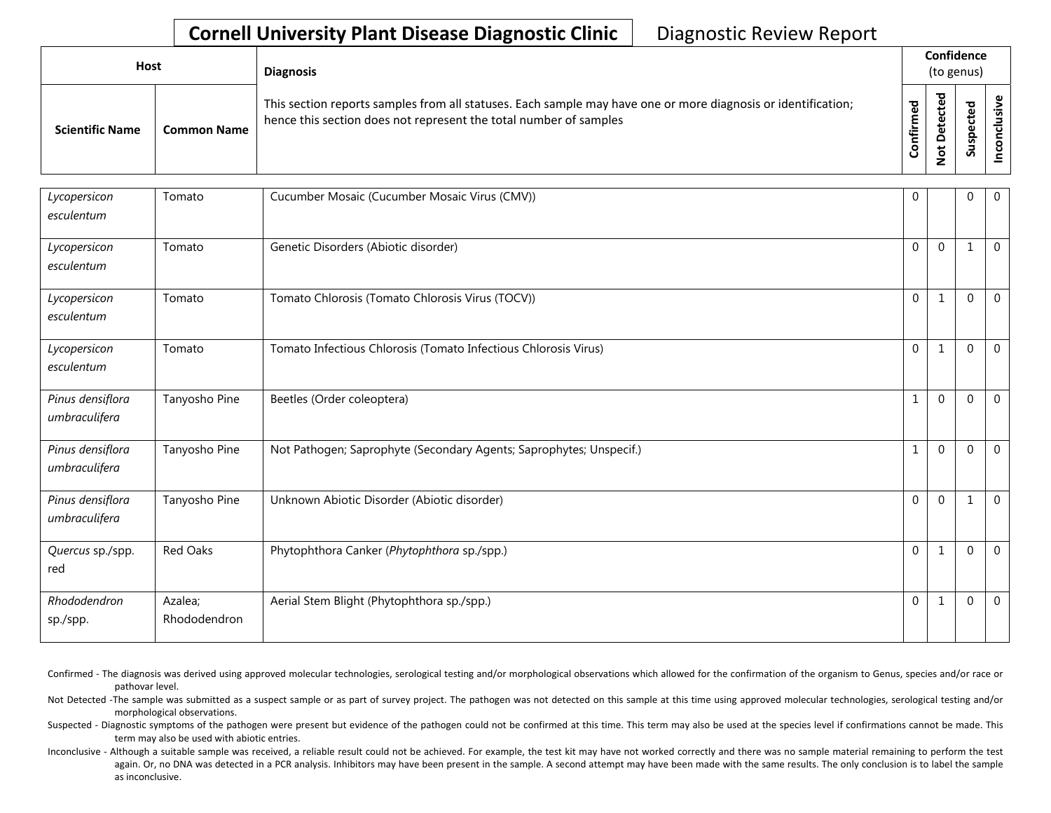## **Cornell University Plant Disease Diagnostic Clinic** | Diagnostic Review Report

| Host                   |                    | <b>Diagnosis</b>                                                                                                                                                                   |              | Confidence<br>(to genus) |              |  |
|------------------------|--------------------|------------------------------------------------------------------------------------------------------------------------------------------------------------------------------------|--------------|--------------------------|--------------|--|
| <b>Scientific Name</b> | <b>Common Name</b> | This section reports samples from all statuses. Each sample may have one or more diagnosis or identification;<br>hence this section does not represent the total number of samples | med<br>onfir | ᅙ<br>t                   | ਠ<br>௨<br>వె |  |

| Lycopersicon<br>esculentum        | Tomato                  | Cucumber Mosaic (Cucumber Mosaic Virus (CMV))                       | $\mathbf 0$  |                | $\Omega$ | $\overline{0}$ |
|-----------------------------------|-------------------------|---------------------------------------------------------------------|--------------|----------------|----------|----------------|
| Lycopersicon<br>esculentum        | Tomato                  | Genetic Disorders (Abiotic disorder)                                | $\Omega$     | $\Omega$       |          | $\overline{0}$ |
| Lycopersicon<br>esculentum        | Tomato                  | Tomato Chlorosis (Tomato Chlorosis Virus (TOCV))                    | $\Omega$     | 1              | $\Omega$ | $\overline{0}$ |
| Lycopersicon<br>esculentum        | Tomato                  | Tomato Infectious Chlorosis (Tomato Infectious Chlorosis Virus)     | $\Omega$     | $\mathbf{1}$   | $\Omega$ | $\Omega$       |
| Pinus densiflora<br>umbraculifera | Tanyosho Pine           | Beetles (Order coleoptera)                                          | $\mathbf{1}$ | $\Omega$       | $\Omega$ | $\Omega$       |
| Pinus densiflora<br>umbraculifera | Tanyosho Pine           | Not Pathogen; Saprophyte (Secondary Agents; Saprophytes; Unspecif.) | $\mathbf{1}$ | $\Omega$       | $\Omega$ | $\overline{0}$ |
| Pinus densiflora<br>umbraculifera | Tanyosho Pine           | Unknown Abiotic Disorder (Abiotic disorder)                         | $\Omega$     | $\Omega$       | 1        | $\overline{0}$ |
| Quercus sp./spp.<br>red           | <b>Red Oaks</b>         | Phytophthora Canker (Phytophthora sp./spp.)                         | $\mathbf{0}$ | -1             | $\Omega$ | $\overline{0}$ |
| Rhododendron<br>sp./spp.          | Azalea;<br>Rhododendron | Aerial Stem Blight (Phytophthora sp./spp.)                          | $\Omega$     | $\overline{1}$ | $\Omega$ | $\Omega$       |

Confirmed - The diagnosis was derived using approved molecular technologies, serological testing and/or morphological observations which allowed for the confirmation of the organism to Genus, species and/or race or pathovar level.

Not Detected -The sample was submitted as a suspect sample or as part of survey project. The pathogen was not detected on this sample at this time using approved molecular technologies, serological testing and/or morphological observations.

Suspected - Diagnostic symptoms of the pathogen were present but evidence of the pathogen could not be confirmed at this time. This term may also be used at the species level if confirmations cannot be made. This term may also be used with abiotic entries.

Inconclusive - Although a suitable sample was received, a reliable result could not be achieved. For example, the test kit may have not worked correctly and there was no sample material remaining to perform the test again. Or, no DNA was detected in a PCR analysis. Inhibitors may have been present in the sample. A second attempt may have been made with the same results. The only conclusion is to label the sample as inconclusive.